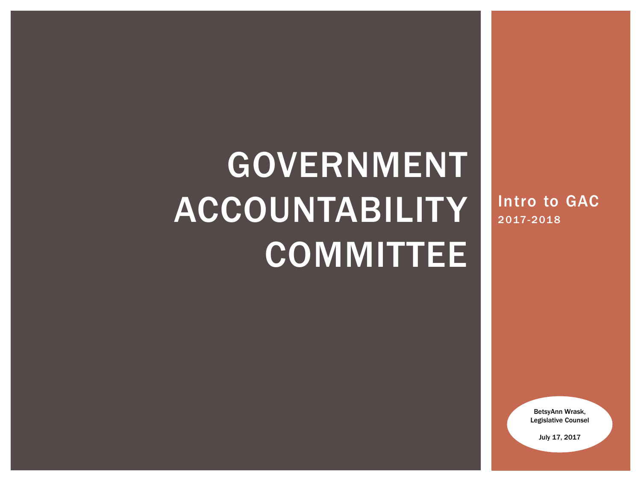# GOVERNMENT ACCOUNTABILITY COMMITTEE

Intro to GAC 2017-2018

> BetsyAnn Wrask, Legislative Counsel

> > July 17, 2017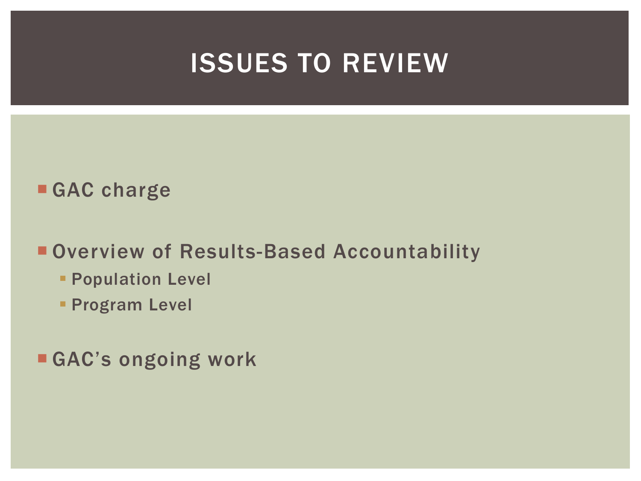### ISSUES TO REVIEW

### **GAC charge**

### **Overview of Results-Based Accountability**

- **Population Level**
- **Program Level**
- **GAC's ongoing work**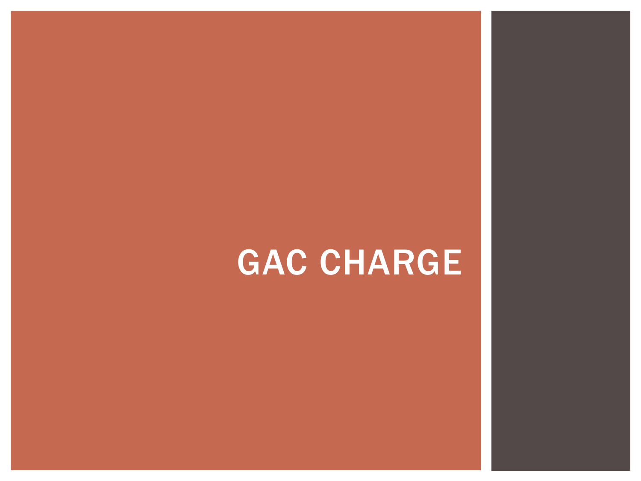# GAC CHARGE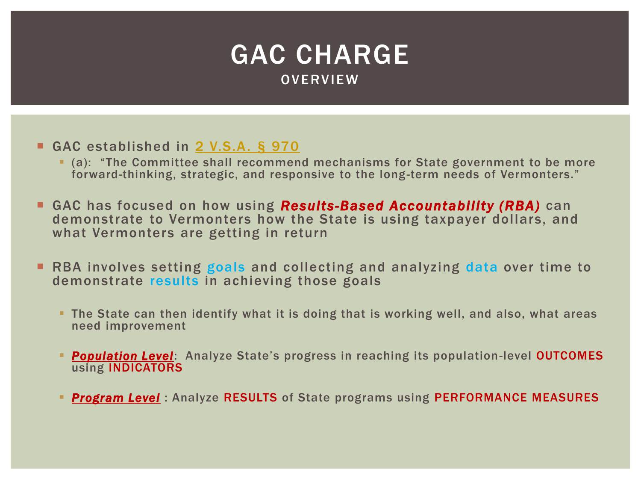

- GAC established in [2 V.S.A. §](http://legislature.vermont.gov/statutes/section/02/028/00970) [970](http://legislature.vermont.gov/statutes/section/02/028/00970)
	- (a): "The Committee shall recommend mechanisms for State government to be more forward-thinking, strategic, and responsive to the long-term needs of Vermonters."
- GAC has focused on how using *Results-Based Accountability (RBA)* can demonstrate to Vermonters how the State is using taxpayer dollars, and what Vermonters are getting in return
- **RBA involves setting goals and collecting and analyzing data over time to** demonstrate results in achieving those goals
	- **The State can then identify what it is doing that is working well, and also, what areas** need improvement
	- *Population Level*: Analyze State's progress in reaching its population-level OUTCOMES using INDICATORS
	- *Program Level* : Analyze RESULTS of State programs using PERFORMANCE MEASURES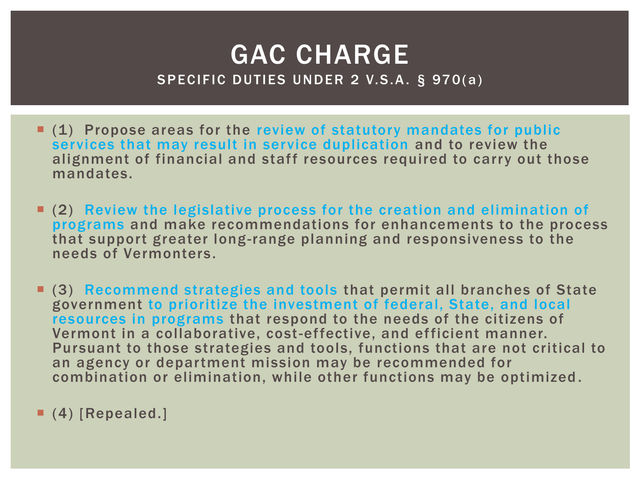### GAC CHARGE SPECIFIC DUTIES UNDER 2 V.S.A. § 970(a)

- $(1)$  Propose areas for the review of statutory mandates for public services that may result in service duplication and to review the alignment of financial and staff resources required to carry out those mandates.
- (2) Review the legislative process for the creation and elimination of programs and make recommendations for enhancements to the process that support greater long-range planning and responsiveness to the needs of Vermonters.
- (3) Recommend strategies and tools that permit all branches of State government to prioritize the investment of federal, State, and local resources in programs that respond to the needs of the citizens of Vermont in a collaborative, cost-effective, and efficient manner. Pursuant to those strategies and tools, functions that are not critical to an agency or department mission may be recommended for combination or elimination, while other functions may be optimized .
- (4) [Repealed.]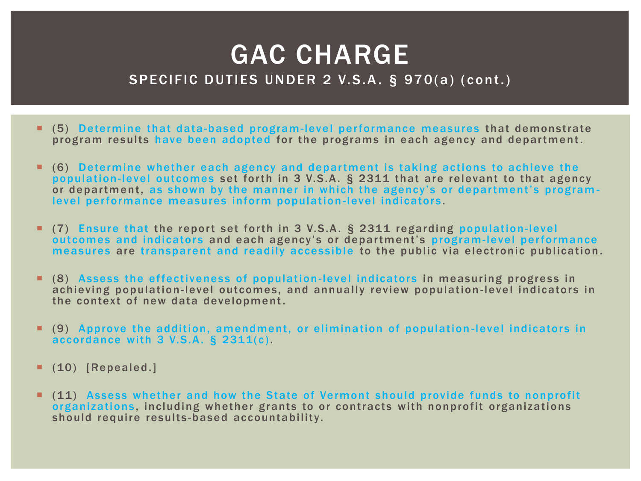### GAC CHARGE SPECIFIC DUTIES UNDER 2 V.S.A. § 970(a) (cont.)

- (5) Determine that data-based program-level performance measures that demonstrate program results have been adopted for the programs in each agency and department.
- (6) Determine whether each agency and depar tment is taking actions to achieve the population-level outcomes set forth in 3 V.S.A. § 2311 that are relevant to that agency or department, as shown by the manner in which the agency's or department's programlevel performance measures inform population-level indicators.
- (7) Ensure that the report set forth in 3 V.S.A. § 2311 regarding population-level outcomes and indicators and each agency's or department's program-level performance measures are transparent and readily accessible to the public via electronic publication .
- **•** (8) Assess the effectiveness of population-level indicators in measuring progress in achieving population-level outcomes, and annually review population-level indicators in the context of new data development.
- (9) Approve the addition, amendment, or elimination of population -level indicator s in accordance with 3 V.S.A . § 2311(c ).
- (10) [Repealed.]
- (11) Assess whether and how the State of Vermont should provide funds to nonprofit organizations, including whether grants to or contracts with nonprofit organizations should require results-based accountability.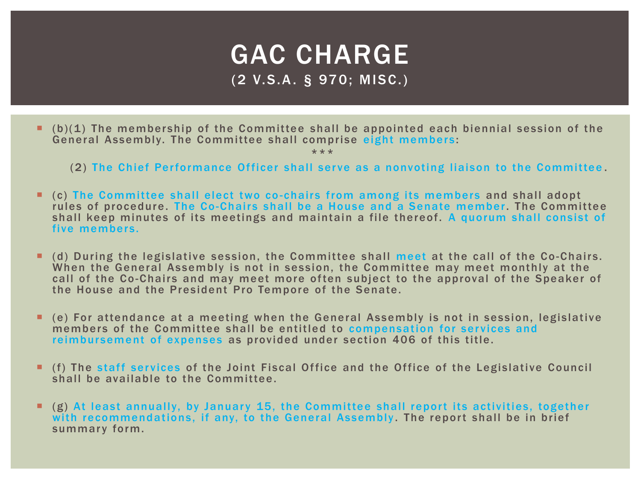### GAC CHARGE (2 V.S.A. § 970; MISC.)

 $\blacksquare$  (b)(1) The membership of the Committee shall be appointed each biennial session of the General Assembly. The Committee shall comprise eight members :

- (2) The Chief Performance Officer shall serve as a nonvoting liaison to the Committee.
- (c) The Committee shall elect two co -chairs from among its members and shall adopt rules of procedure. The Co-Chairs shall be a House and a Senate member. The Committee shall keep minutes of its meetings and maintain a file thereof. A quorum shall consist of five members.
- I (d) During the legislative session, the Committee shall meet at the call of the Co-Chairs. When the General Assembly is not in session, the Committee may meet monthly at the call of the Co-Chairs and may meet more often subject to the approval of the Speaker of the House and the President Pro Tempore of the Senate.
- (e) For attendance at a meeting when the General Assembly is not in session, legislative members of the Committee shall be entitled to compensation for services and reimbursement of expenses as provided under section 406 of this title.
- **If (f)** The staff services of the Joint Fiscal Office and the Office of the Legislative Council shall be available to the Committee.
- $(g)$  At least annually, by January 15, the Committee shall report its activities, together with recommendations, if any, to the General Assembly. The report shall be in brief summary form.

<sup>\*\*\*</sup>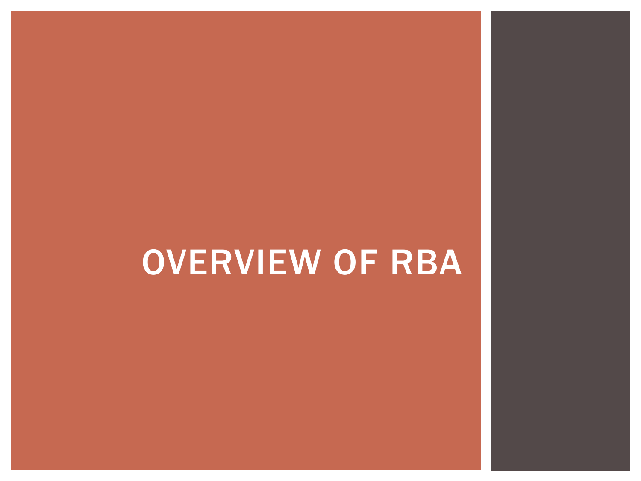# OVERVIEW OF RBA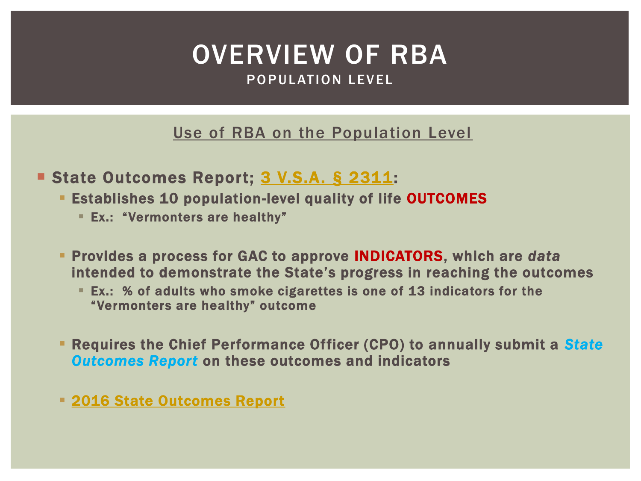### OVERVIEW OF RBA POPULATION LEVEL

Use of RBA on the Population Level

- State Outcomes Report; [3 V.S.A. § 2311](http://legislature.vermont.gov/statutes/section/03/045/02311):
	- **Establishes 10 population-level quality of life OUTCOMES** 
		- Ex.: "Vermonters are healthy"
	- Provides a process for GAC to approve INDICATORS, which are *data* intended to demonstrate the State's progress in reaching the outcomes
		- Ex.: % of adults who smoke cigarettes is one of 13 indicators for the "Vermonters are healthy" outcome
	- Requires the Chief Performance Officer (CPO) to annually submit a *State Outcomes Report* on these outcomes and indicators
	- [2016 State Outcomes Report](http://spotlight.vermont.gov/sites/spotlight/files/documents/Outcomes_Indicators_2016_FINAL.pdf)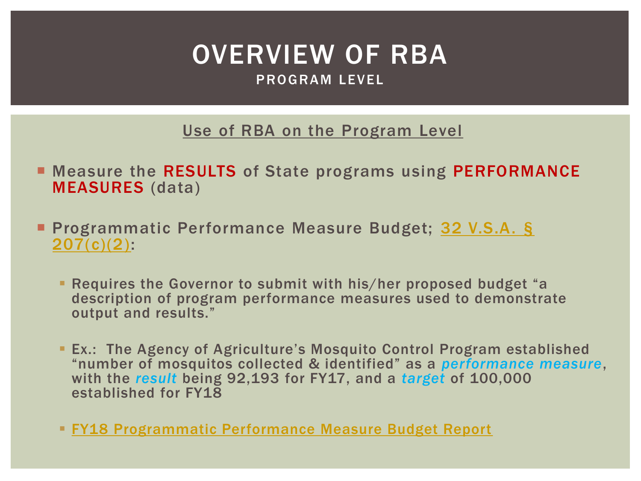### OVERVIEW OF RBA PROGRAM LEVEL

Use of RBA on the Program Level

- **E** Measure the RESULTS of State programs using PERFORMANCE MEASURES (data)
- Programmatic Performance Measure Budget; [32 V.S.A. §](http://legislature.vermont.gov/statutes/section/32/005/00307) [207\(c\)\(2\)](http://legislature.vermont.gov/statutes/section/32/005/00307):
	- Requires the Governor to submit with his/her proposed budget "a description of program performance measures used to demonstrate output and results."
	- Ex.: The Agency of Agriculture's Mosquito Control Program established "number of mosquitos collected & identified" as a *performance measure*, with the *result* being 92,193 for FY17, and a *target* of 100,000 established for FY18
	- **[FY18 Programmatic Performance Measure Budget Report](http://spotlight.vermont.gov/sites/spotlight/files/Performance/FY2018_ProgBudRpt_FINAL.pdf)**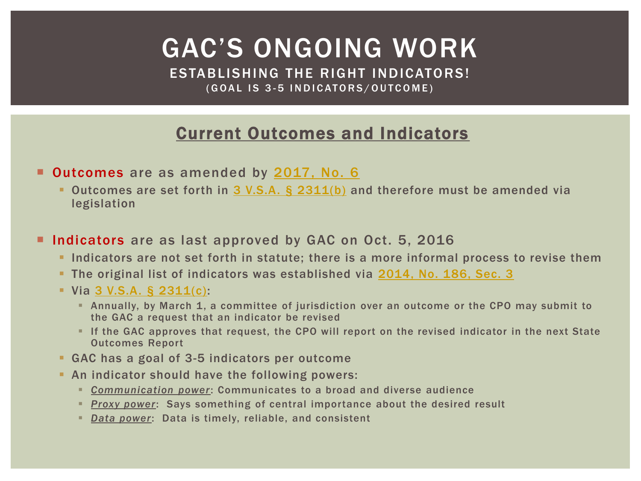ESTABLISHING THE RIGHT INDICATORS! (GOAL IS 3-5 INDICATORS/OUTCOME)

#### Current Outcomes and Indicators

**Outcomes** are as amended by [2017, No. 6](http://legislature.vermont.gov/assets/Documents/2018/Docs/ACTS/ACT006/ACT006 As Enacted.pdf)

- Outcomes are set forth in [3 V.S.A. §](http://legislature.vermont.gov/statutes/section/03/045/02311) [2311\(b\)](http://legislature.vermont.gov/statutes/section/03/045/02311) and therefore must be amended via legislation
- **Indicators** are as last approved by GAC on Oct. 5, 2016
	- Indicators are not set forth in statute; there is a more informal process to revise them
	- The original list of indicators was established via [2014, No. 186, Sec. 3](http://legislature.vermont.gov/assets/Documents/2014/Docs/ACTS/ACT186/ACT186 As Enacted.pdf)
	- $\blacksquare$  Via [3 V.S.A. §](http://legislature.vermont.gov/statutes/section/03/045/02311) [2311\(c\):](http://legislature.vermont.gov/statutes/section/03/045/02311)
		- Annually, by March 1, a committee of jurisdiction over an outcome or the CPO may submit to the GAC a request that an indicator be revised
		- If the GAC approves that request, the CPO will report on the revised indicator in the next State Outcomes Report
	- GAC has a goal of 3-5 indicators per outcome
	- An indicator should have the following powers:
		- *Communication power*: Communicates to a broad and diverse audience
		- *Proxy power*: Says something of central importance about the desired result
		- *Data power*: Data is timely, reliable, and consistent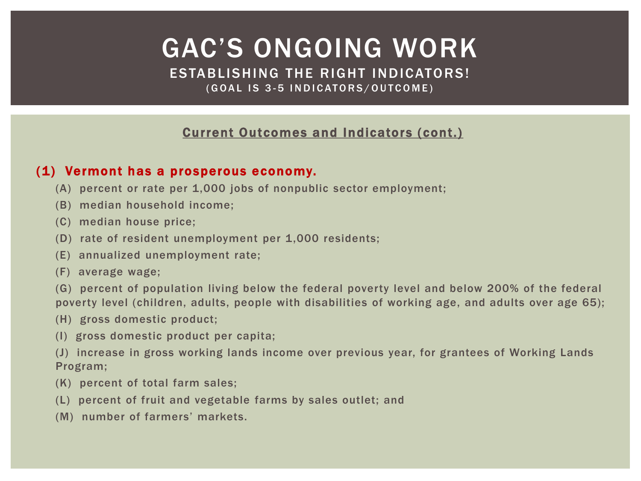ESTABLISHING THE RIGHT INDICATORS! (GOAL IS 3-5 INDICATORS/OUTCOME)

#### Current Outcomes and Indicators (cont.)

#### (1) Vermont has a prosperous economy.

- (A) percent or rate per 1,000 jobs of nonpublic sector employment;
- (B) median household income;
- (C) median house price;
- (D) rate of resident unemployment per 1,000 residents;
- (E) annualized unemployment rate;
- (F) average wage;
- (G) percent of population living below the federal poverty level and below 200% of the federal poverty level (children, adults, people with disabilities of working age, and adults over age 65);
- (H) gross domestic product;
- (I) gross domestic product per capita;
- (J) increase in gross working lands income over previous year, for grantees of Working Lands Program;
- (K) percent of total farm sales;
- (L) percent of fruit and vegetable farms by sales outlet; and
- (M) number of farmers' markets.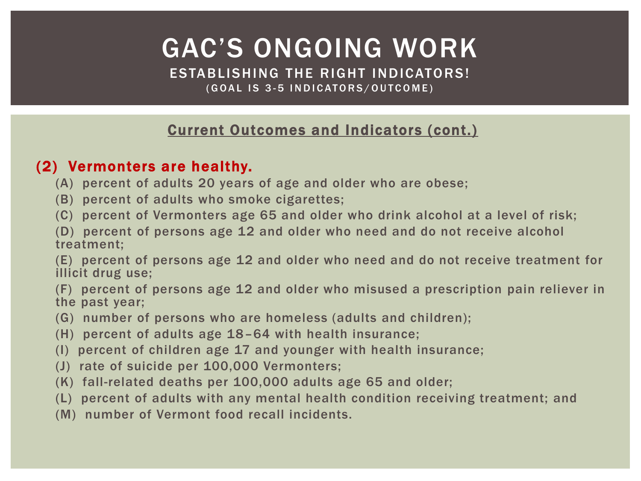ESTABLISHING THE RIGHT INDICATORS! (GOAL IS 3-5 INDICATORS/OUTCOME)

#### Current Outcomes and Indicators (cont.)

#### (2) Vermonters are healthy.

- (A) percent of adults 20 years of age and older who are obese;
- (B) percent of adults who smoke cigarettes;
- (C) percent of Vermonters age 65 and older who drink alcohol at a level of risk;
- (D) percent of persons age 12 and older who need and do not receive alcohol treatment;

(E) percent of persons age 12 and older who need and do not receive treatment for illicit drug use;

(F) percent of persons age 12 and older who misused a prescription pain reliever in the past year;

- (G) number of persons who are homeless (adults and children);
- (H) percent of adults age 18–64 with health insurance;
- (I) percent of children age 17 and younger with health insurance;
- (J) rate of suicide per 100,000 Vermonters;
- (K) fall-related deaths per 100,000 adults age 65 and older;
- (L) percent of adults with any mental health condition receiving treatment; and
- (M) number of Vermont food recall incidents.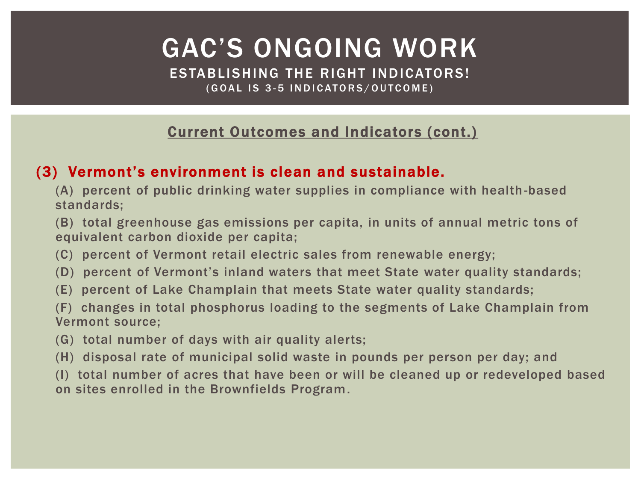ESTABLISHING THE RIGHT INDICATORS! (GOAL IS 3-5 INDICATORS/OUTCOME)

#### Current Outcomes and Indicators (cont.)

#### (3) Vermont's environment is clean and sustainable.

(A) percent of public drinking water supplies in compliance with health -based standards;

(B) total greenhouse gas emissions per capita, in units of annual metric tons of equivalent carbon dioxide per capita;

(C) percent of Vermont retail electric sales from renewable energy;

(D) percent of Vermont's inland waters that meet State water quality standards;

(E) percent of Lake Champlain that meets State water quality standards;

(F) changes in total phosphorus loading to the segments of Lake Champlain from Vermont source;

(G) total number of days with air quality alerts;

(H) disposal rate of municipal solid waste in pounds per person per day; and

(I) total number of acres that have been or will be cleaned up or redeveloped based on sites enrolled in the Brownfields Program.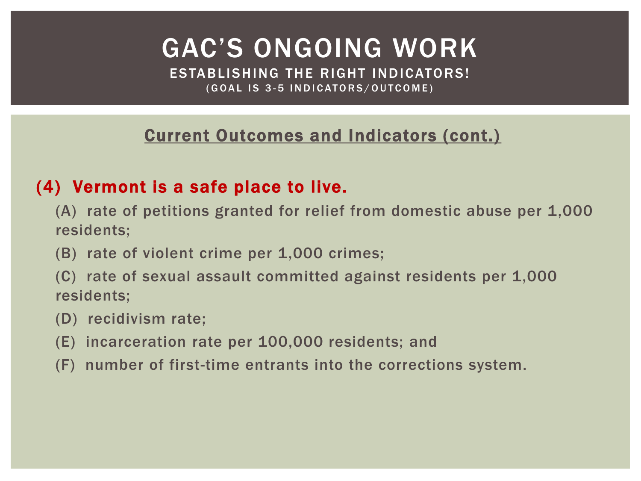ESTABLISHING THE RIGHT INDICATORS! (GOAL IS 3-5 INDICATORS/OUTCOME)

### Current Outcomes and Indicators (cont.)

### (4) Vermont is a safe place to live.

- (A) rate of petitions granted for relief from domestic abuse per 1,000 residents;
- (B) rate of violent crime per 1,000 crimes;
- (C) rate of sexual assault committed against residents per 1,000 residents;
- (D) recidivism rate;
- (E) incarceration rate per 100,000 residents; and
- (F) number of first-time entrants into the corrections system.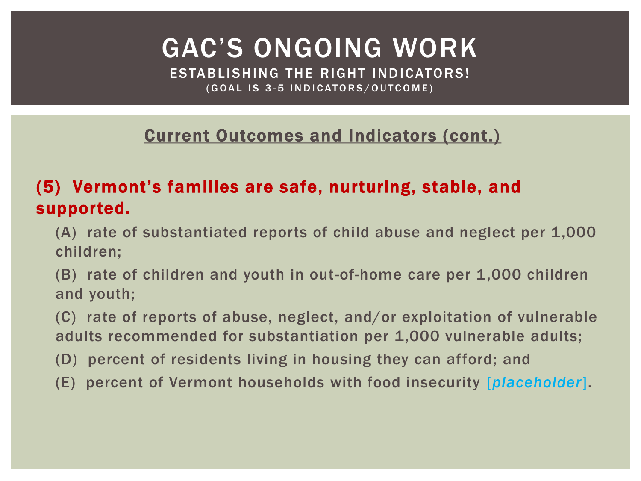ESTABLISHING THE RIGHT INDICATORS! (GOAL IS 3-5 INDICATORS/OUTCOME)

### Current Outcomes and Indicators (cont.)

### (5) Vermont's families are safe, nurturing, stable, and supported.

- (A) rate of substantiated reports of child abuse and neglect per 1,000 children;
- (B) rate of children and youth in out-of-home care per 1,000 children and youth;
- (C) rate of reports of abuse, neglect, and/or exploitation of vulnerable adults recommended for substantiation per 1,000 vulnerable adults;
- (D) percent of residents living in housing they can afford; and
- (E) percent of Vermont households with food insecurity [*placeholder*].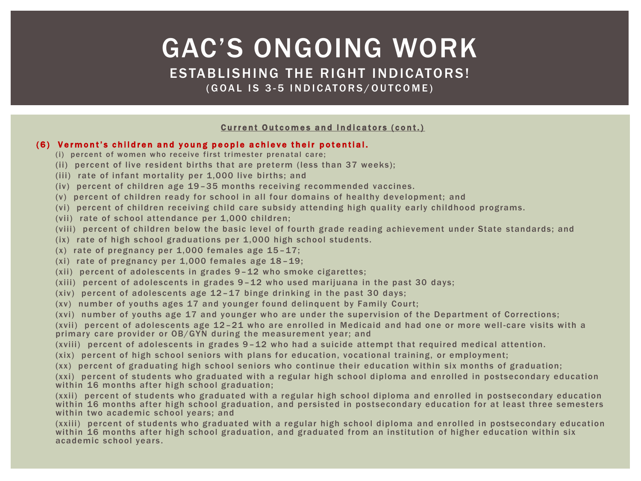#### ESTABLISHING THE RIGHT INDICATORS! (GOAL IS 3-5 INDICATORS/OUTCOME)

#### **Current Outcomes and Indicators (cont.)**

#### (6) Vermont's children and young people achieve their potential.

- (i) percent of women who receive first trimester prenatal care;
- (ii) percent of live resident births that are preterm (less than 37 weeks);
- (iii) rate of infant mortality per 1,000 live births; and
- (iv) percent of children age 19–35 months receiving recommended vaccines.
- (v) percent of children ready for school in all four domains of healthy development; and
- (vi) percent of children receiving child care subsidy attending high quality early childhood programs.
- (vii) rate of school attendance per 1,000 children;
- (viii) percent of children below the basic level of fourth grade reading achievement under State standards; and
- (ix) rate of high school graduations per 1,000 high school students.
- $(x)$  rate of pregnancy per 1,000 females age 15-17;
- (xi) rate of pregnancy per 1,000 females age 18–19;
- (xii) percent of adolescents in grades 9–12 who smoke cigarettes;
- (xiii) percent of adolescents in grades 9–12 who used marijuana in the past 30 days;
- (xiv) percent of adolescents age 12–17 binge drinking in the past 30 days;
- (xv) number of youths ages 17 and younger found delinquent by Family Court;
- (xvi) number of youths age 17 and younger who are under the supervision of the Department of Corrections;

(xvii) percent of adolescents age  $12 - 21$  who are enrolled in Medicaid and had one or more well-care visits with a primary care provider or OB/GYN during the measurement year; and

- (xviii) percent of adolescents in grades 9–12 who had a suicide attempt that required medical attention.
- (xix) percent of high school seniors with plans for education, vocational training, or employment;
- (xx) percent of graduating high school seniors who continue their education within six months of graduation;

(xxi) percent of students who graduated with a regular high school diploma and enrolled in postsecondary education within 16 months after high school graduation;

(xxii) percent of students who graduated with a regular high school diploma and enrolled in postsecondary education within 16 months after high school graduation, and persisted in postsecondary education for at least three semesters within two academic school years; and

(xxiii) percent of students who graduated with a regular high school diploma and enrolled in postsecondary education within 16 months after high school graduation, and graduated from an institution of higher education within six academic school years .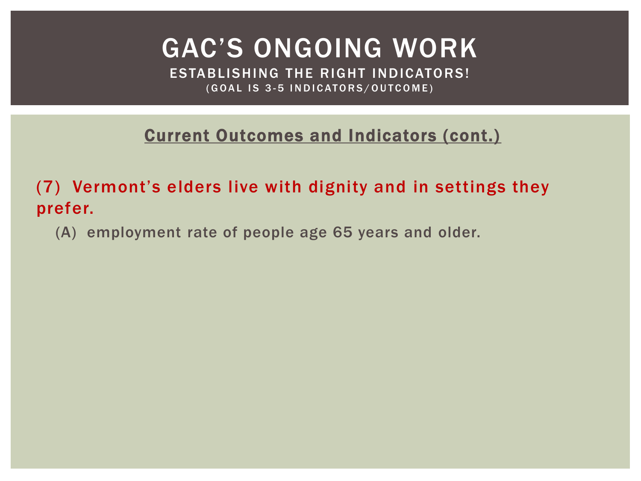ESTABLISHING THE RIGHT INDICATORS! (GOAL IS 3-5 INDICATORS/OUTCOME)

Current Outcomes and Indicators (cont.)

(7) Vermont's elders live with dignity and in settings they prefer.

(A) employment rate of people age 65 years and older.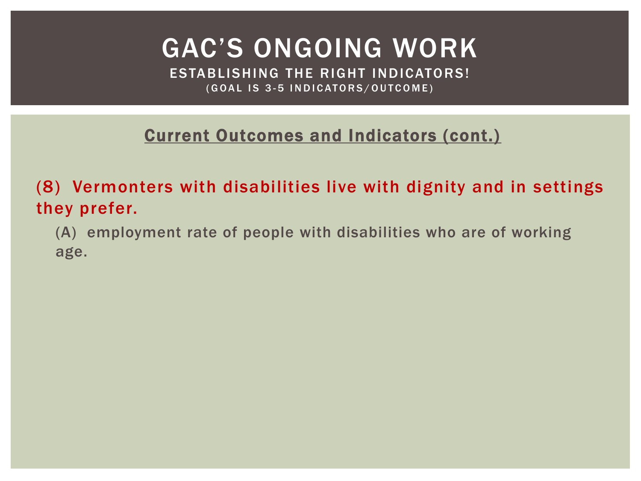ESTABLISHING THE RIGHT INDICATORS! (GOAL IS 3-5 INDICATORS/OUTCOME)

Current Outcomes and Indicators (cont.)

(8) Vermonters with disabilities live with dignity and in settings they prefer.

(A) employment rate of people with disabilities who are of working age.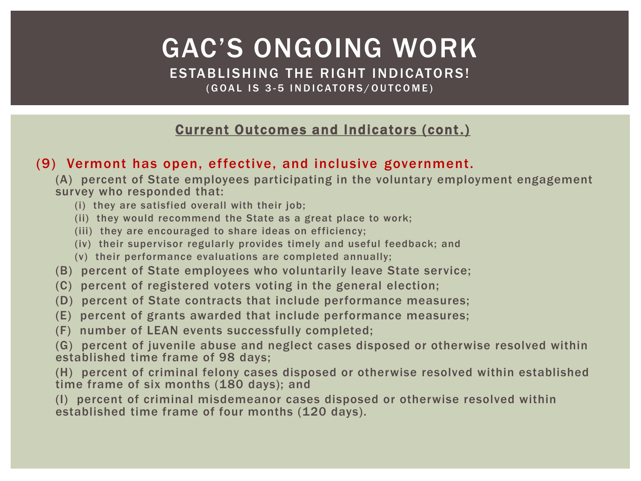ESTABLISHING THE RIGHT INDICATORS! (GOAL IS 3-5 INDICATORS/OUTCOME)

#### Current Outcomes and Indicators (cont.)

#### (9) Vermont has open, effective, and inclusive government.

(A) percent of State employees participating in the voluntary employment engagement survey who responded that:

- (i) they are satisfied overall with their job;
- (ii) they would recommend the State as a great place to work;
- (iii) they are encouraged to share ideas on efficiency;
- (iv) their supervisor regularly provides timely and useful feedback; and
- (v) their performance evaluations are completed annually;
- (B) percent of State employees who voluntarily leave State service;
- (C) percent of registered voters voting in the general election;
- (D) percent of State contracts that include performance measures;
- (E) percent of grants awarded that include performance measures;
- (F) number of LEAN events successfully completed;

(G) percent of juvenile abuse and neglect cases disposed or otherwise resolved within established time frame of 98 days;

(H) percent of criminal felony cases disposed or otherwise resolved within established time frame of six months (180 days); and

(I) percent of criminal misdemeanor cases disposed or otherwise resolved within established time frame of four months (120 days).